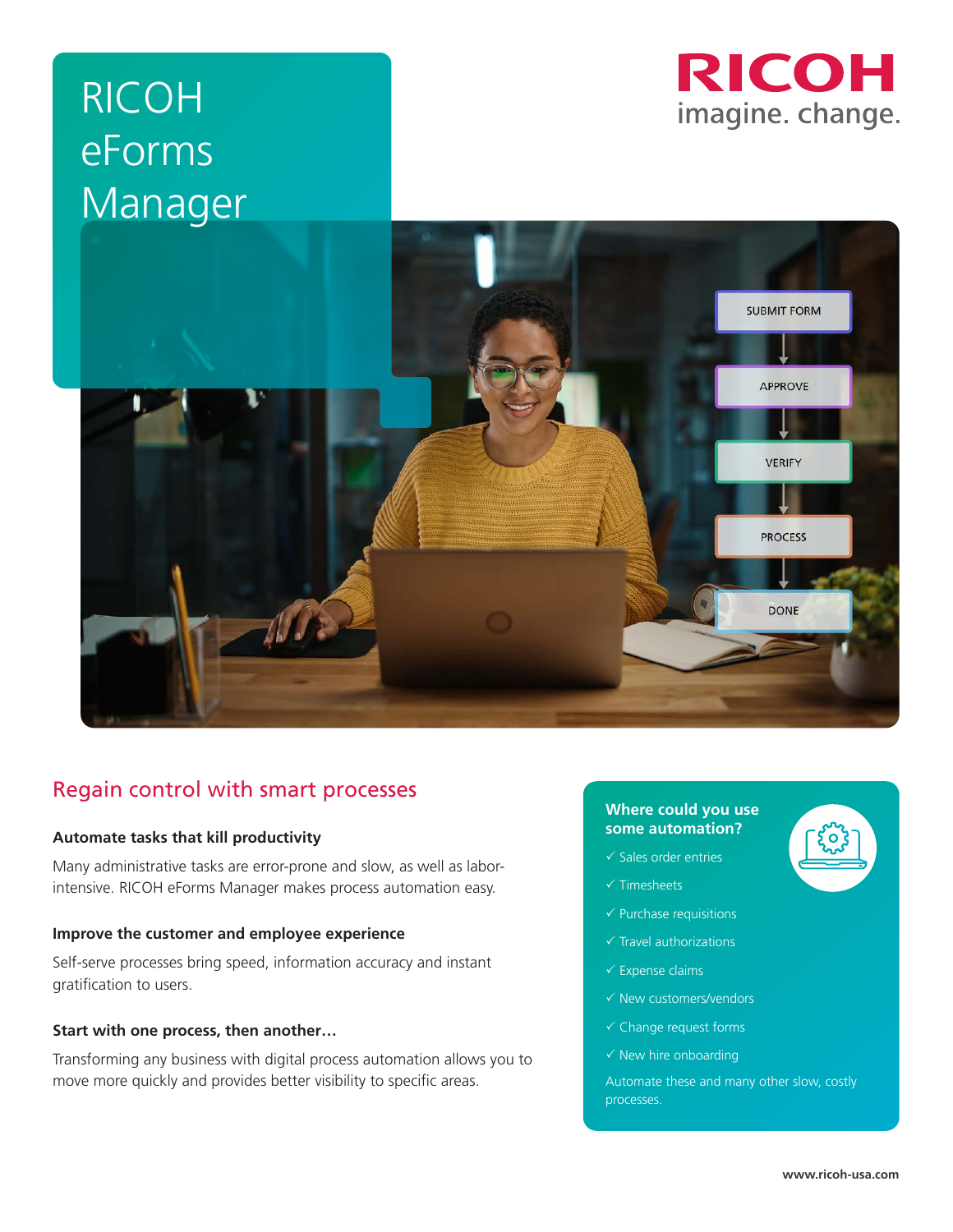# RICOH eForms Manager





# Regain control with smart processes

# **Automate tasks that kill productivity**

Many administrative tasks are error-prone and slow, as well as laborintensive. RICOH eForms Manager makes process automation easy.

### **Improve the customer and employee experience**

Self-serve processes bring speed, information accuracy and instant gratification to users.

#### **Start with one process, then another…**

Transforming any business with digital process automation allows you to move more quickly and provides better visibility to specific areas.

#### **Where could you use some automation?**

- $\checkmark$  Sales order entries
- $\times$  Timesheets
- $\checkmark$  Purchase requisitions
- $\checkmark$  Travel authorizations
- $\checkmark$  Expense claims
- $\checkmark$  New customers/vendors
- $\checkmark$  Change request forms
- $\checkmark$  New hire onboarding

Automate these and many other slow, costly processes.